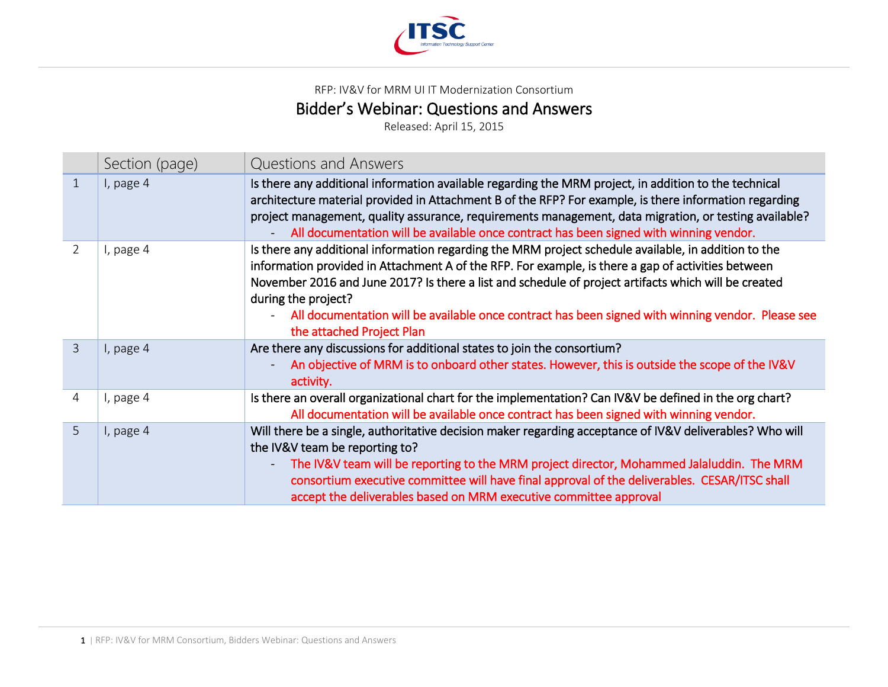

RFP: IV&V for MRM UI IT Modernization Consortium

## Bidder's Webinar: Questions and Answers<br>Released: April 15, 2015

|                | Section (page) | <b>Questions and Answers</b>                                                                                                                                                                                                                                                                                                                                                                                                                                                |
|----------------|----------------|-----------------------------------------------------------------------------------------------------------------------------------------------------------------------------------------------------------------------------------------------------------------------------------------------------------------------------------------------------------------------------------------------------------------------------------------------------------------------------|
| 1              | I, page 4      | Is there any additional information available regarding the MRM project, in addition to the technical<br>architecture material provided in Attachment B of the RFP? For example, is there information regarding<br>project management, quality assurance, requirements management, data migration, or testing available?<br>All documentation will be available once contract has been signed with winning vendor.                                                          |
| $\mathcal{L}$  | I, page 4      | Is there any additional information regarding the MRM project schedule available, in addition to the<br>information provided in Attachment A of the RFP. For example, is there a gap of activities between<br>November 2016 and June 2017? Is there a list and schedule of project artifacts which will be created<br>during the project?<br>All documentation will be available once contract has been signed with winning vendor. Please see<br>the attached Project Plan |
| $\overline{3}$ | I, page 4      | Are there any discussions for additional states to join the consortium?<br>An objective of MRM is to onboard other states. However, this is outside the scope of the IV&V<br>activity.                                                                                                                                                                                                                                                                                      |
| 4              | I, page 4      | Is there an overall organizational chart for the implementation? Can IV&V be defined in the org chart?<br>All documentation will be available once contract has been signed with winning vendor.                                                                                                                                                                                                                                                                            |
| 5              | I, page 4      | Will there be a single, authoritative decision maker regarding acceptance of IV&V deliverables? Who will<br>the IV&V team be reporting to?<br>The IV&V team will be reporting to the MRM project director, Mohammed Jalaluddin. The MRM<br>consortium executive committee will have final approval of the deliverables. CESAR/ITSC shall<br>accept the deliverables based on MRM executive committee approval                                                               |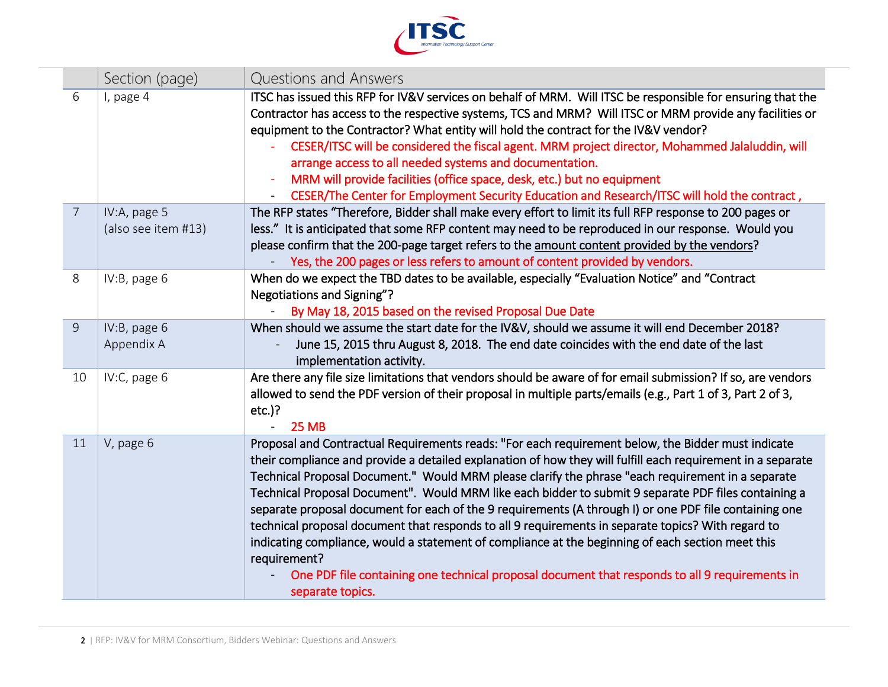

|                | Section (page)                      | Questions and Answers                                                                                                                                                                                                                                                                                                                                                                                                                                                                                                                                                                                                                                                                                                                                                                                                                                                                     |
|----------------|-------------------------------------|-------------------------------------------------------------------------------------------------------------------------------------------------------------------------------------------------------------------------------------------------------------------------------------------------------------------------------------------------------------------------------------------------------------------------------------------------------------------------------------------------------------------------------------------------------------------------------------------------------------------------------------------------------------------------------------------------------------------------------------------------------------------------------------------------------------------------------------------------------------------------------------------|
| 6              | I, page 4                           | ITSC has issued this RFP for IV&V services on behalf of MRM. Will ITSC be responsible for ensuring that the<br>Contractor has access to the respective systems, TCS and MRM? Will ITSC or MRM provide any facilities or<br>equipment to the Contractor? What entity will hold the contract for the IV&V vendor?<br>CESER/ITSC will be considered the fiscal agent. MRM project director, Mohammed Jalaluddin, will<br>arrange access to all needed systems and documentation.<br>MRM will provide facilities (office space, desk, etc.) but no equipment<br>CESER/The Center for Employment Security Education and Research/ITSC will hold the contract,                                                                                                                                                                                                                                  |
| $\overline{7}$ | IV:A, page 5<br>(also see item #13) | The RFP states "Therefore, Bidder shall make every effort to limit its full RFP response to 200 pages or<br>less." It is anticipated that some RFP content may need to be reproduced in our response. Would you<br>please confirm that the 200-page target refers to the amount content provided by the vendors?<br>Yes, the 200 pages or less refers to amount of content provided by vendors.                                                                                                                                                                                                                                                                                                                                                                                                                                                                                           |
| 8              | IV:B, page 6                        | When do we expect the TBD dates to be available, especially "Evaluation Notice" and "Contract<br>Negotiations and Signing"?<br>By May 18, 2015 based on the revised Proposal Due Date                                                                                                                                                                                                                                                                                                                                                                                                                                                                                                                                                                                                                                                                                                     |
| 9              | IV:B, page 6<br>Appendix A          | When should we assume the start date for the IV&V, should we assume it will end December 2018?<br>June 15, 2015 thru August 8, 2018. The end date coincides with the end date of the last<br>implementation activity.                                                                                                                                                                                                                                                                                                                                                                                                                                                                                                                                                                                                                                                                     |
| 10             | IV:C, page 6                        | Are there any file size limitations that vendors should be aware of for email submission? If so, are vendors<br>allowed to send the PDF version of their proposal in multiple parts/emails (e.g., Part 1 of 3, Part 2 of 3,<br>$etc.$ )?<br><b>25 MB</b>                                                                                                                                                                                                                                                                                                                                                                                                                                                                                                                                                                                                                                  |
| 11             | V, page 6                           | Proposal and Contractual Requirements reads: "For each requirement below, the Bidder must indicate<br>their compliance and provide a detailed explanation of how they will fulfill each requirement in a separate<br>Technical Proposal Document." Would MRM please clarify the phrase "each requirement in a separate<br>Technical Proposal Document". Would MRM like each bidder to submit 9 separate PDF files containing a<br>separate proposal document for each of the 9 requirements (A through I) or one PDF file containing one<br>technical proposal document that responds to all 9 requirements in separate topics? With regard to<br>indicating compliance, would a statement of compliance at the beginning of each section meet this<br>requirement?<br>One PDF file containing one technical proposal document that responds to all 9 requirements in<br>separate topics. |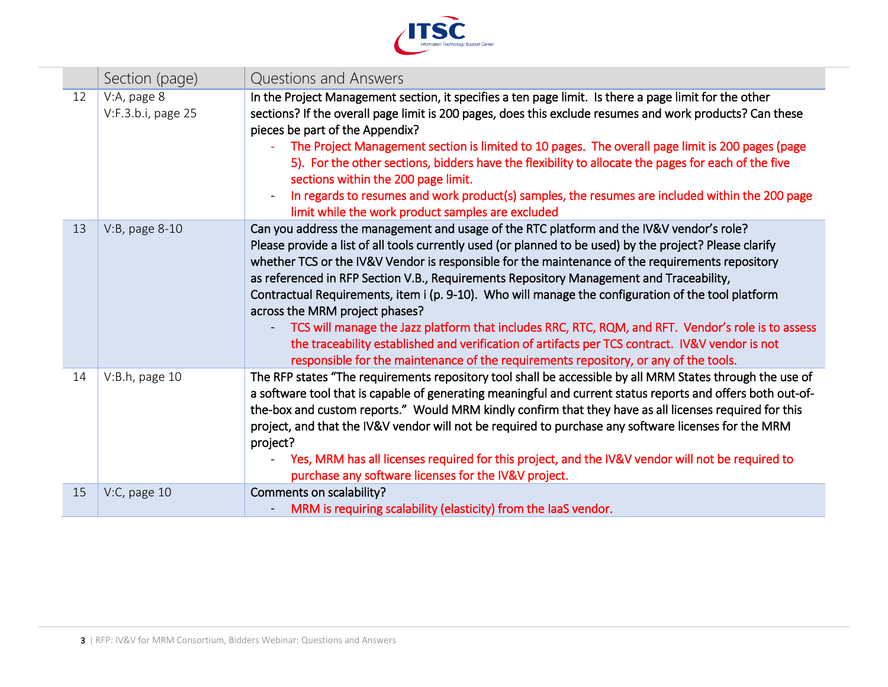

|    | Section (page)                    | Questions and Answers                                                                                                                                                                                                                                                                                                                                                                                                                                                                                                                                                                                                                                                                                                                                                                                                                        |
|----|-----------------------------------|----------------------------------------------------------------------------------------------------------------------------------------------------------------------------------------------------------------------------------------------------------------------------------------------------------------------------------------------------------------------------------------------------------------------------------------------------------------------------------------------------------------------------------------------------------------------------------------------------------------------------------------------------------------------------------------------------------------------------------------------------------------------------------------------------------------------------------------------|
| 12 | V:A, page 8<br>V:F.3.b.i, page 25 | In the Project Management section, it specifies a ten page limit. Is there a page limit for the other<br>sections? If the overall page limit is 200 pages, does this exclude resumes and work products? Can these<br>pieces be part of the Appendix?<br>The Project Management section is limited to 10 pages. The overall page limit is 200 pages (page<br>5). For the other sections, bidders have the flexibility to allocate the pages for each of the five<br>sections within the 200 page limit.<br>In regards to resumes and work product(s) samples, the resumes are included within the 200 page<br>limit while the work product samples are excluded                                                                                                                                                                               |
| 13 | V:B, page 8-10                    | Can you address the management and usage of the RTC platform and the IV&V vendor's role?<br>Please provide a list of all tools currently used (or planned to be used) by the project? Please clarify<br>whether TCS or the IV&V Vendor is responsible for the maintenance of the requirements repository<br>as referenced in RFP Section V.B., Requirements Repository Management and Traceability,<br>Contractual Requirements, item i (p. 9-10). Who will manage the configuration of the tool platform<br>across the MRM project phases?<br>TCS will manage the Jazz platform that includes RRC, RTC, RQM, and RFT. Vendor's role is to assess<br>the traceability established and verification of artifacts per TCS contract. IV&V vendor is not<br>responsible for the maintenance of the requirements repository, or any of the tools. |
| 14 | V:B.h, page 10                    | The RFP states "The requirements repository tool shall be accessible by all MRM States through the use of<br>a software tool that is capable of generating meaningful and current status reports and offers both out-of-<br>the-box and custom reports." Would MRM kindly confirm that they have as all licenses required for this<br>project, and that the IV&V vendor will not be required to purchase any software licenses for the MRM<br>project?<br>Yes, MRM has all licenses required for this project, and the IV&V vendor will not be required to<br>purchase any software licenses for the IV&V project.                                                                                                                                                                                                                           |
| 15 | $V:C$ , page 10                   | Comments on scalability?<br>MRM is requiring scalability (elasticity) from the laaS vendor.                                                                                                                                                                                                                                                                                                                                                                                                                                                                                                                                                                                                                                                                                                                                                  |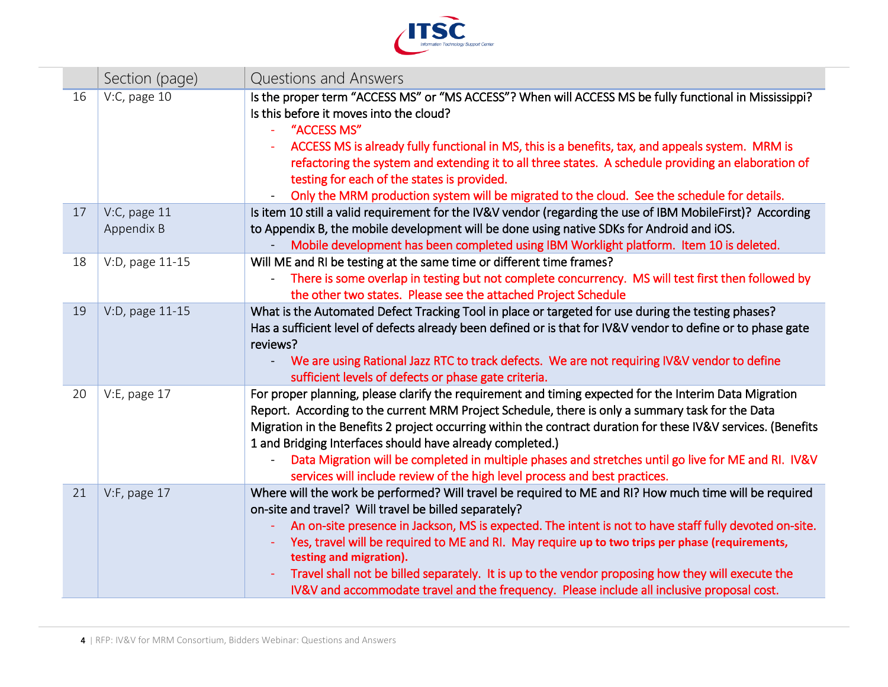

|    | Section (page)             | Questions and Answers                                                                                                                                                                                                                                                                                                                                                                                                                                                                                                                                                                                      |
|----|----------------------------|------------------------------------------------------------------------------------------------------------------------------------------------------------------------------------------------------------------------------------------------------------------------------------------------------------------------------------------------------------------------------------------------------------------------------------------------------------------------------------------------------------------------------------------------------------------------------------------------------------|
| 16 | $V:C$ , page 10            | Is the proper term "ACCESS MS" or "MS ACCESS"? When will ACCESS MS be fully functional in Mississippi?<br>Is this before it moves into the cloud?<br>"ACCESS MS"<br>ACCESS MS is already fully functional in MS, this is a benefits, tax, and appeals system. MRM is<br>refactoring the system and extending it to all three states. A schedule providing an elaboration of<br>testing for each of the states is provided.<br>Only the MRM production system will be migrated to the cloud. See the schedule for details.                                                                                  |
| 17 | V:C, page 11<br>Appendix B | Is item 10 still a valid requirement for the IV&V vendor (regarding the use of IBM MobileFirst)? According<br>to Appendix B, the mobile development will be done using native SDKs for Android and iOS.<br>Mobile development has been completed using IBM Worklight platform. Item 10 is deleted.                                                                                                                                                                                                                                                                                                         |
| 18 | V:D, page 11-15            | Will ME and RI be testing at the same time or different time frames?<br>There is some overlap in testing but not complete concurrency. MS will test first then followed by<br>$\blacksquare$<br>the other two states. Please see the attached Project Schedule                                                                                                                                                                                                                                                                                                                                             |
| 19 | V:D, page 11-15            | What is the Automated Defect Tracking Tool in place or targeted for use during the testing phases?<br>Has a sufficient level of defects already been defined or is that for IV&V vendor to define or to phase gate<br>reviews?<br>We are using Rational Jazz RTC to track defects. We are not requiring IV&V vendor to define<br>sufficient levels of defects or phase gate criteria.                                                                                                                                                                                                                      |
| 20 | V:E, page 17               | For proper planning, please clarify the requirement and timing expected for the Interim Data Migration<br>Report. According to the current MRM Project Schedule, there is only a summary task for the Data<br>Migration in the Benefits 2 project occurring within the contract duration for these IV&V services. (Benefits<br>1 and Bridging Interfaces should have already completed.)<br>Data Migration will be completed in multiple phases and stretches until go live for ME and RI. IV&V<br>services will include review of the high level process and best practices.                              |
| 21 | V:F, page 17               | Where will the work be performed? Will travel be required to ME and RI? How much time will be required<br>on-site and travel? Will travel be billed separately?<br>An on-site presence in Jackson, MS is expected. The intent is not to have staff fully devoted on-site.<br>Yes, travel will be required to ME and RI. May require up to two trips per phase (requirements,<br>testing and migration).<br>Travel shall not be billed separately. It is up to the vendor proposing how they will execute the<br>IV&V and accommodate travel and the frequency. Please include all inclusive proposal cost. |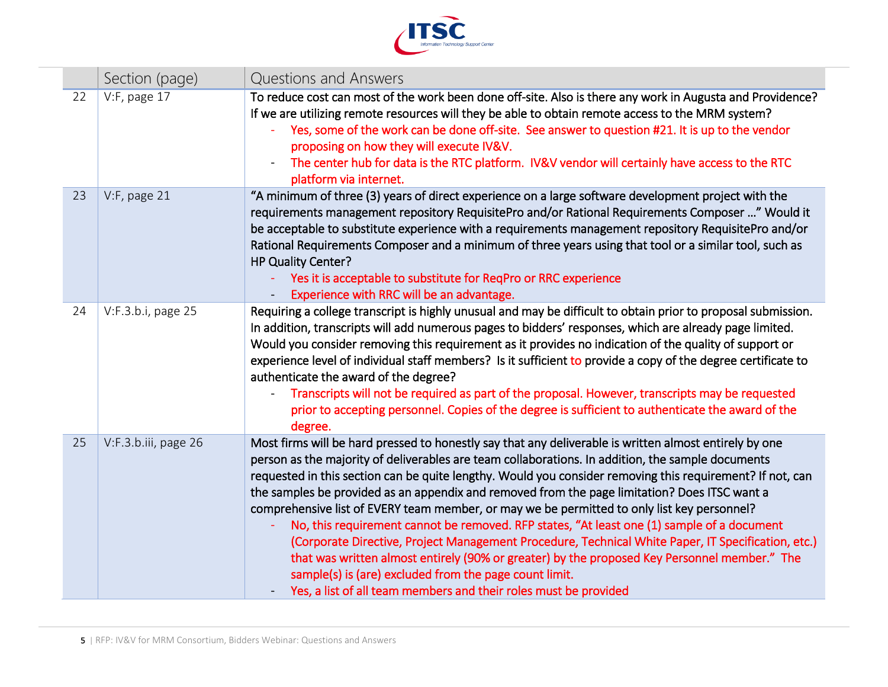

|    | Section (page)       | Questions and Answers                                                                                                                                                                                                                                                                                                                                                                                                                                                                                                                                                                                                                                                                                                                                                                                                                                                                                                                                      |
|----|----------------------|------------------------------------------------------------------------------------------------------------------------------------------------------------------------------------------------------------------------------------------------------------------------------------------------------------------------------------------------------------------------------------------------------------------------------------------------------------------------------------------------------------------------------------------------------------------------------------------------------------------------------------------------------------------------------------------------------------------------------------------------------------------------------------------------------------------------------------------------------------------------------------------------------------------------------------------------------------|
| 22 | $V$ :F, page 17      | To reduce cost can most of the work been done off-site. Also is there any work in Augusta and Providence?<br>If we are utilizing remote resources will they be able to obtain remote access to the MRM system?<br>Yes, some of the work can be done off-site. See answer to question #21. It is up to the vendor<br>proposing on how they will execute IV&V.<br>The center hub for data is the RTC platform. IV&V vendor will certainly have access to the RTC<br>platform via internet.                                                                                                                                                                                                                                                                                                                                                                                                                                                                   |
| 23 | $V:$ F, page 21      | "A minimum of three (3) years of direct experience on a large software development project with the<br>requirements management repository RequisitePro and/or Rational Requirements Composer " Would it<br>be acceptable to substitute experience with a requirements management repository RequisitePro and/or<br>Rational Requirements Composer and a minimum of three years using that tool or a similar tool, such as<br>HP Quality Center?<br>Yes it is acceptable to substitute for ReqPro or RRC experience<br>Experience with RRC will be an advantage.                                                                                                                                                                                                                                                                                                                                                                                            |
| 24 | V:F.3.b.i, page 25   | Requiring a college transcript is highly unusual and may be difficult to obtain prior to proposal submission.<br>In addition, transcripts will add numerous pages to bidders' responses, which are already page limited.<br>Would you consider removing this requirement as it provides no indication of the quality of support or<br>experience level of individual staff members? Is it sufficient to provide a copy of the degree certificate to<br>authenticate the award of the degree?<br>Transcripts will not be required as part of the proposal. However, transcripts may be requested<br>prior to accepting personnel. Copies of the degree is sufficient to authenticate the award of the<br>degree.                                                                                                                                                                                                                                            |
| 25 | V:F.3.b.iii, page 26 | Most firms will be hard pressed to honestly say that any deliverable is written almost entirely by one<br>person as the majority of deliverables are team collaborations. In addition, the sample documents<br>requested in this section can be quite lengthy. Would you consider removing this requirement? If not, can<br>the samples be provided as an appendix and removed from the page limitation? Does ITSC want a<br>comprehensive list of EVERY team member, or may we be permitted to only list key personnel?<br>No, this requirement cannot be removed. RFP states, "At least one (1) sample of a document<br>(Corporate Directive, Project Management Procedure, Technical White Paper, IT Specification, etc.)<br>that was written almost entirely (90% or greater) by the proposed Key Personnel member." The<br>sample(s) is (are) excluded from the page count limit.<br>Yes, a list of all team members and their roles must be provided |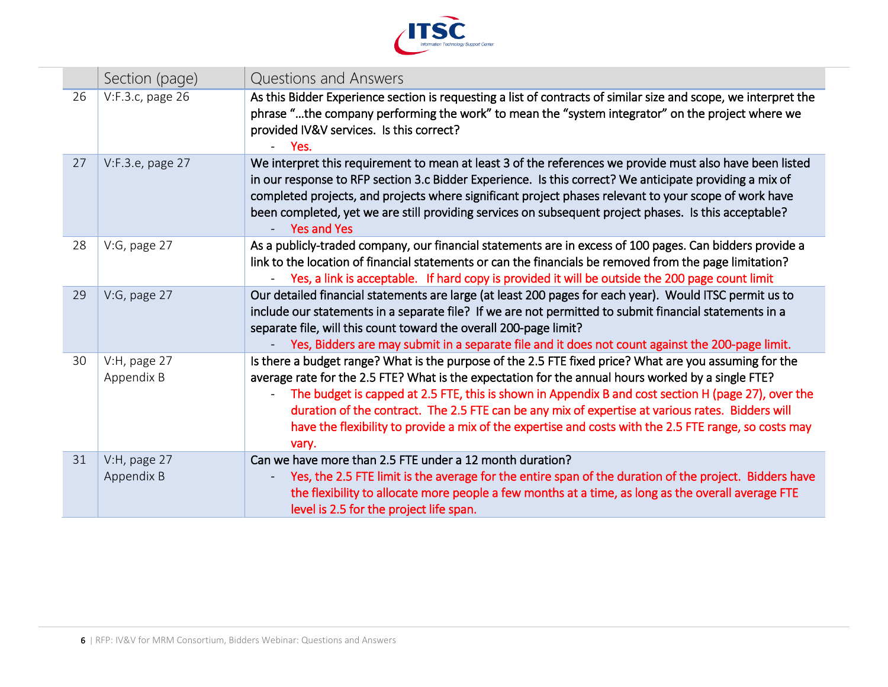

|    | Section (page)             | Questions and Answers                                                                                                                                                                                                                                                                                                                                                                                                                                                                                                                     |
|----|----------------------------|-------------------------------------------------------------------------------------------------------------------------------------------------------------------------------------------------------------------------------------------------------------------------------------------------------------------------------------------------------------------------------------------------------------------------------------------------------------------------------------------------------------------------------------------|
| 26 | V:F.3.c, page 26           | As this Bidder Experience section is requesting a list of contracts of similar size and scope, we interpret the<br>phrase "the company performing the work" to mean the "system integrator" on the project where we<br>provided IV&V services. Is this correct?<br>$-$ Yes.                                                                                                                                                                                                                                                               |
| 27 | V:F.3.e, page 27           | We interpret this requirement to mean at least 3 of the references we provide must also have been listed<br>in our response to RFP section 3.c Bidder Experience. Is this correct? We anticipate providing a mix of<br>completed projects, and projects where significant project phases relevant to your scope of work have<br>been completed, yet we are still providing services on subsequent project phases. Is this acceptable?<br><b>Yes and Yes</b>                                                                               |
| 28 | V:G, page 27               | As a publicly-traded company, our financial statements are in excess of 100 pages. Can bidders provide a<br>link to the location of financial statements or can the financials be removed from the page limitation?<br>Yes, a link is acceptable. If hard copy is provided it will be outside the 200 page count limit                                                                                                                                                                                                                    |
| 29 | V:G, page 27               | Our detailed financial statements are large (at least 200 pages for each year). Would ITSC permit us to<br>include our statements in a separate file? If we are not permitted to submit financial statements in a<br>separate file, will this count toward the overall 200-page limit?<br>Yes, Bidders are may submit in a separate file and it does not count against the 200-page limit.                                                                                                                                                |
| 30 | V:H, page 27<br>Appendix B | Is there a budget range? What is the purpose of the 2.5 FTE fixed price? What are you assuming for the<br>average rate for the 2.5 FTE? What is the expectation for the annual hours worked by a single FTE?<br>The budget is capped at 2.5 FTE, this is shown in Appendix B and cost section H (page 27), over the<br>duration of the contract. The 2.5 FTE can be any mix of expertise at various rates. Bidders will<br>have the flexibility to provide a mix of the expertise and costs with the 2.5 FTE range, so costs may<br>vary. |
| 31 | V:H, page 27<br>Appendix B | Can we have more than 2.5 FTE under a 12 month duration?<br>Yes, the 2.5 FTE limit is the average for the entire span of the duration of the project. Bidders have<br>the flexibility to allocate more people a few months at a time, as long as the overall average FTE<br>level is 2.5 for the project life span.                                                                                                                                                                                                                       |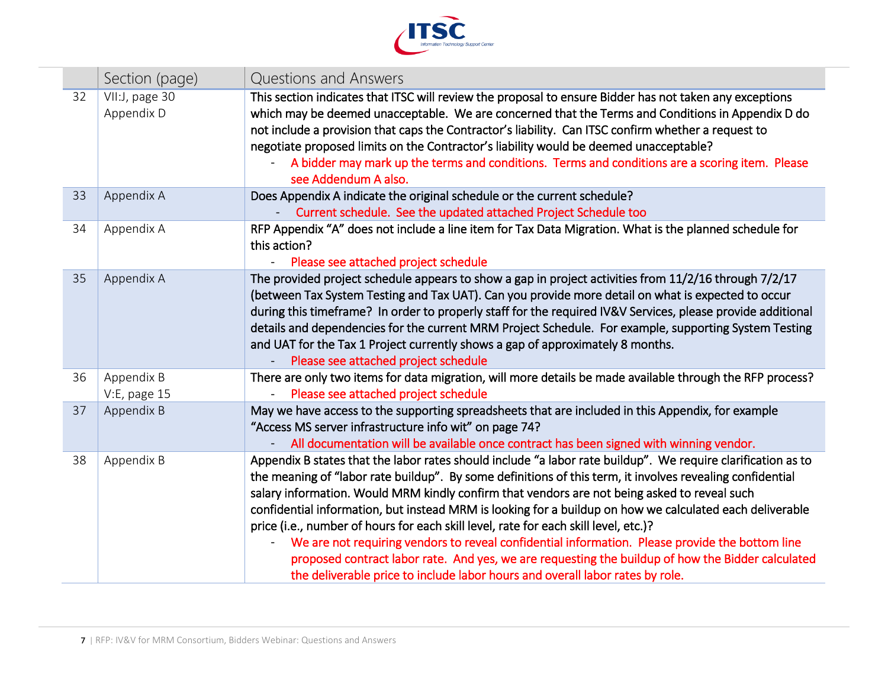

|    | Section (page)               | Questions and Answers                                                                                                                                                                                                                                                                                                                                                                                                                                                                                                                                                                                                                                                                                                                                                                                                                                                                                            |
|----|------------------------------|------------------------------------------------------------------------------------------------------------------------------------------------------------------------------------------------------------------------------------------------------------------------------------------------------------------------------------------------------------------------------------------------------------------------------------------------------------------------------------------------------------------------------------------------------------------------------------------------------------------------------------------------------------------------------------------------------------------------------------------------------------------------------------------------------------------------------------------------------------------------------------------------------------------|
| 32 | VII:J, page 30<br>Appendix D | This section indicates that ITSC will review the proposal to ensure Bidder has not taken any exceptions<br>which may be deemed unacceptable. We are concerned that the Terms and Conditions in Appendix D do<br>not include a provision that caps the Contractor's liability. Can ITSC confirm whether a request to<br>negotiate proposed limits on the Contractor's liability would be deemed unacceptable?<br>A bidder may mark up the terms and conditions. Terms and conditions are a scoring item. Please<br>see Addendum A also.                                                                                                                                                                                                                                                                                                                                                                           |
| 33 | Appendix A                   | Does Appendix A indicate the original schedule or the current schedule?<br>Current schedule. See the updated attached Project Schedule too                                                                                                                                                                                                                                                                                                                                                                                                                                                                                                                                                                                                                                                                                                                                                                       |
| 34 | Appendix A                   | RFP Appendix "A" does not include a line item for Tax Data Migration. What is the planned schedule for<br>this action?<br>Please see attached project schedule                                                                                                                                                                                                                                                                                                                                                                                                                                                                                                                                                                                                                                                                                                                                                   |
| 35 | Appendix A                   | The provided project schedule appears to show a gap in project activities from 11/2/16 through 7/2/17<br>(between Tax System Testing and Tax UAT). Can you provide more detail on what is expected to occur<br>during this timeframe? In order to properly staff for the required IV&V Services, please provide additional<br>details and dependencies for the current MRM Project Schedule. For example, supporting System Testing<br>and UAT for the Tax 1 Project currently shows a gap of approximately 8 months.<br>Please see attached project schedule                                                                                                                                                                                                                                                                                                                                                    |
| 36 | Appendix B<br>V:E, page 15   | There are only two items for data migration, will more details be made available through the RFP process?<br>Please see attached project schedule                                                                                                                                                                                                                                                                                                                                                                                                                                                                                                                                                                                                                                                                                                                                                                |
| 37 | Appendix B                   | May we have access to the supporting spreadsheets that are included in this Appendix, for example<br>"Access MS server infrastructure info wit" on page 74?                                                                                                                                                                                                                                                                                                                                                                                                                                                                                                                                                                                                                                                                                                                                                      |
| 38 | Appendix B                   | All documentation will be available once contract has been signed with winning vendor.<br>Appendix B states that the labor rates should include "a labor rate buildup". We require clarification as to<br>the meaning of "labor rate buildup". By some definitions of this term, it involves revealing confidential<br>salary information. Would MRM kindly confirm that vendors are not being asked to reveal such<br>confidential information, but instead MRM is looking for a buildup on how we calculated each deliverable<br>price (i.e., number of hours for each skill level, rate for each skill level, etc.)?<br>We are not requiring vendors to reveal confidential information. Please provide the bottom line<br>proposed contract labor rate. And yes, we are requesting the buildup of how the Bidder calculated<br>the deliverable price to include labor hours and overall labor rates by role. |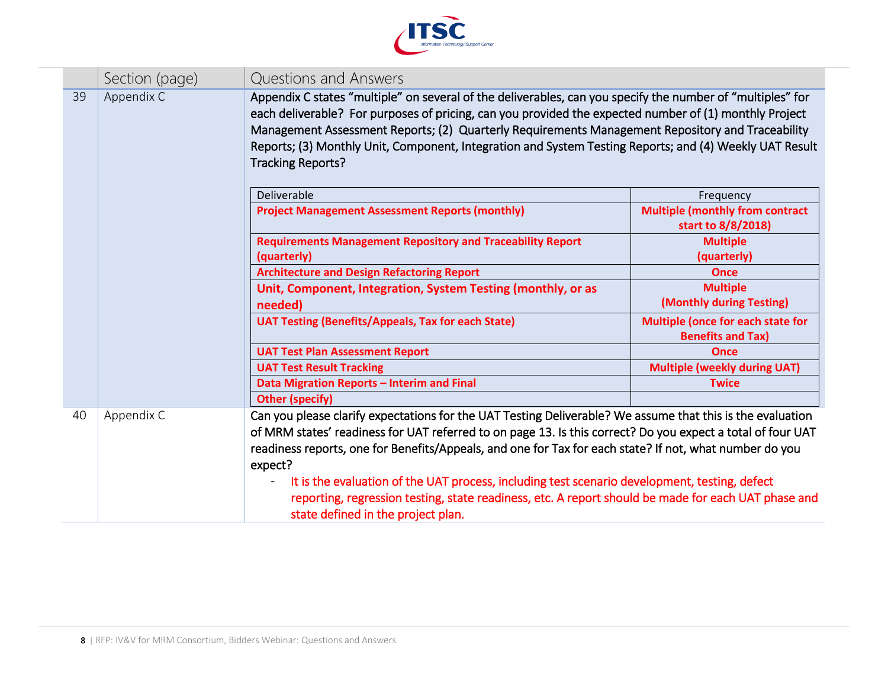

|    | Section (page) | Questions and Answers                                                                                                                                                                                                                                                                                                                                                                                                                                                                                                                                                                         |                                                               |
|----|----------------|-----------------------------------------------------------------------------------------------------------------------------------------------------------------------------------------------------------------------------------------------------------------------------------------------------------------------------------------------------------------------------------------------------------------------------------------------------------------------------------------------------------------------------------------------------------------------------------------------|---------------------------------------------------------------|
| 39 | Appendix C     | Appendix C states "multiple" on several of the deliverables, can you specify the number of "multiples" for<br>each deliverable? For purposes of pricing, can you provided the expected number of (1) monthly Project<br>Management Assessment Reports; (2) Quarterly Requirements Management Repository and Traceability<br>Reports; (3) Monthly Unit, Component, Integration and System Testing Reports; and (4) Weekly UAT Result<br><b>Tracking Reports?</b>                                                                                                                               |                                                               |
|    |                | Deliverable                                                                                                                                                                                                                                                                                                                                                                                                                                                                                                                                                                                   | Frequency                                                     |
|    |                | <b>Project Management Assessment Reports (monthly)</b>                                                                                                                                                                                                                                                                                                                                                                                                                                                                                                                                        | <b>Multiple (monthly from contract</b><br>start to 8/8/2018)  |
|    |                | <b>Requirements Management Repository and Traceability Report</b><br>(quarterly)                                                                                                                                                                                                                                                                                                                                                                                                                                                                                                              | <b>Multiple</b><br>(quarterly)                                |
|    |                | <b>Architecture and Design Refactoring Report</b>                                                                                                                                                                                                                                                                                                                                                                                                                                                                                                                                             | <b>Once</b>                                                   |
|    |                | Unit, Component, Integration, System Testing (monthly, or as<br>needed)                                                                                                                                                                                                                                                                                                                                                                                                                                                                                                                       | <b>Multiple</b><br>(Monthly during Testing)                   |
|    |                | <b>UAT Testing (Benefits/Appeals, Tax for each State)</b>                                                                                                                                                                                                                                                                                                                                                                                                                                                                                                                                     | Multiple (once for each state for<br><b>Benefits and Tax)</b> |
|    |                | <b>UAT Test Plan Assessment Report</b>                                                                                                                                                                                                                                                                                                                                                                                                                                                                                                                                                        | <b>Once</b>                                                   |
|    |                | <b>UAT Test Result Tracking</b>                                                                                                                                                                                                                                                                                                                                                                                                                                                                                                                                                               | <b>Multiple (weekly during UAT)</b>                           |
|    |                | Data Migration Reports - Interim and Final                                                                                                                                                                                                                                                                                                                                                                                                                                                                                                                                                    | <b>Twice</b>                                                  |
|    |                | <b>Other (specify)</b>                                                                                                                                                                                                                                                                                                                                                                                                                                                                                                                                                                        |                                                               |
| 40 | Appendix C     | Can you please clarify expectations for the UAT Testing Deliverable? We assume that this is the evaluation<br>of MRM states' readiness for UAT referred to on page 13. Is this correct? Do you expect a total of four UAT<br>readiness reports, one for Benefits/Appeals, and one for Tax for each state? If not, what number do you<br>expect?<br>It is the evaluation of the UAT process, including test scenario development, testing, defect<br>reporting, regression testing, state readiness, etc. A report should be made for each UAT phase and<br>state defined in the project plan. |                                                               |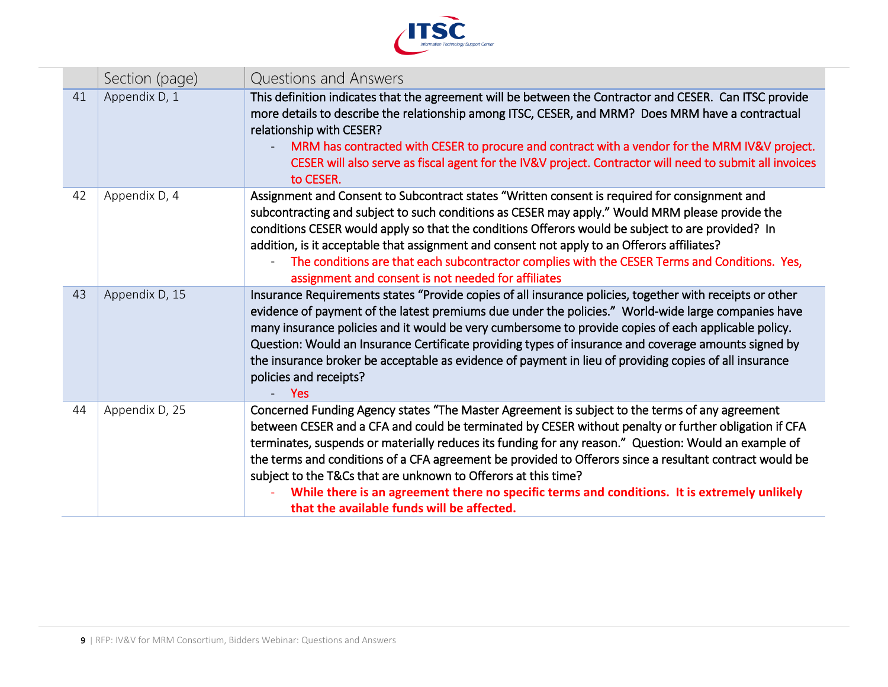

|    | Section (page) | Questions and Answers                                                                                                                                                                                                                                                                                                                                                                                                                                                                                                                                                                                                                       |
|----|----------------|---------------------------------------------------------------------------------------------------------------------------------------------------------------------------------------------------------------------------------------------------------------------------------------------------------------------------------------------------------------------------------------------------------------------------------------------------------------------------------------------------------------------------------------------------------------------------------------------------------------------------------------------|
| 41 | Appendix D, 1  | This definition indicates that the agreement will be between the Contractor and CESER. Can ITSC provide<br>more details to describe the relationship among ITSC, CESER, and MRM? Does MRM have a contractual<br>relationship with CESER?<br>MRM has contracted with CESER to procure and contract with a vendor for the MRM IV&V project.<br>CESER will also serve as fiscal agent for the IV&V project. Contractor will need to submit all invoices<br>to CESER.                                                                                                                                                                           |
| 42 | Appendix D, 4  | Assignment and Consent to Subcontract states "Written consent is required for consignment and<br>subcontracting and subject to such conditions as CESER may apply." Would MRM please provide the<br>conditions CESER would apply so that the conditions Offerors would be subject to are provided? In<br>addition, is it acceptable that assignment and consent not apply to an Offerors affiliates?<br>The conditions are that each subcontractor complies with the CESER Terms and Conditions. Yes,<br>assignment and consent is not needed for affiliates                                                                                |
| 43 | Appendix D, 15 | Insurance Requirements states "Provide copies of all insurance policies, together with receipts or other<br>evidence of payment of the latest premiums due under the policies." World-wide large companies have<br>many insurance policies and it would be very cumbersome to provide copies of each applicable policy.<br>Question: Would an Insurance Certificate providing types of insurance and coverage amounts signed by<br>the insurance broker be acceptable as evidence of payment in lieu of providing copies of all insurance<br>policies and receipts?<br><b>Yes</b>                                                           |
| 44 | Appendix D, 25 | Concerned Funding Agency states "The Master Agreement is subject to the terms of any agreement<br>between CESER and a CFA and could be terminated by CESER without penalty or further obligation if CFA<br>terminates, suspends or materially reduces its funding for any reason." Question: Would an example of<br>the terms and conditions of a CFA agreement be provided to Offerors since a resultant contract would be<br>subject to the T&Cs that are unknown to Offerors at this time?<br>While there is an agreement there no specific terms and conditions. It is extremely unlikely<br>that the available funds will be affected. |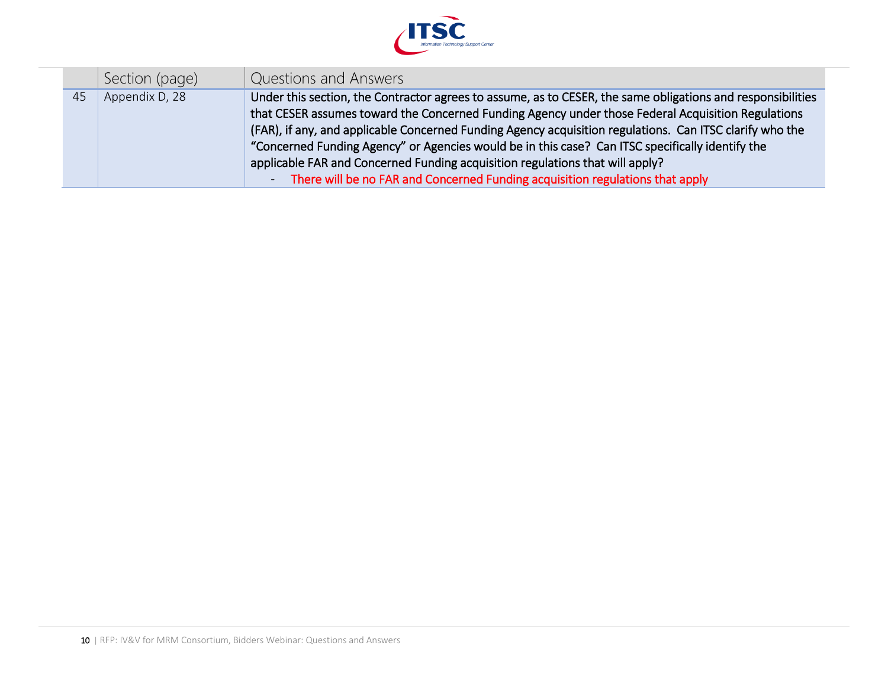

|    | Section (page) | Questions and Answers                                                                                       |
|----|----------------|-------------------------------------------------------------------------------------------------------------|
| 45 | Appendix D, 28 | Under this section, the Contractor agrees to assume, as to CESER, the same obligations and responsibilities |
|    |                | that CESER assumes toward the Concerned Funding Agency under those Federal Acquisition Regulations          |
|    |                | (FAR), if any, and applicable Concerned Funding Agency acquisition regulations. Can ITSC clarify who the    |
|    |                | "Concerned Funding Agency" or Agencies would be in this case? Can ITSC specifically identify the            |
|    |                | applicable FAR and Concerned Funding acquisition regulations that will apply?                               |
|    |                | There will be no FAR and Concerned Funding acquisition regulations that apply<br>$\sim$                     |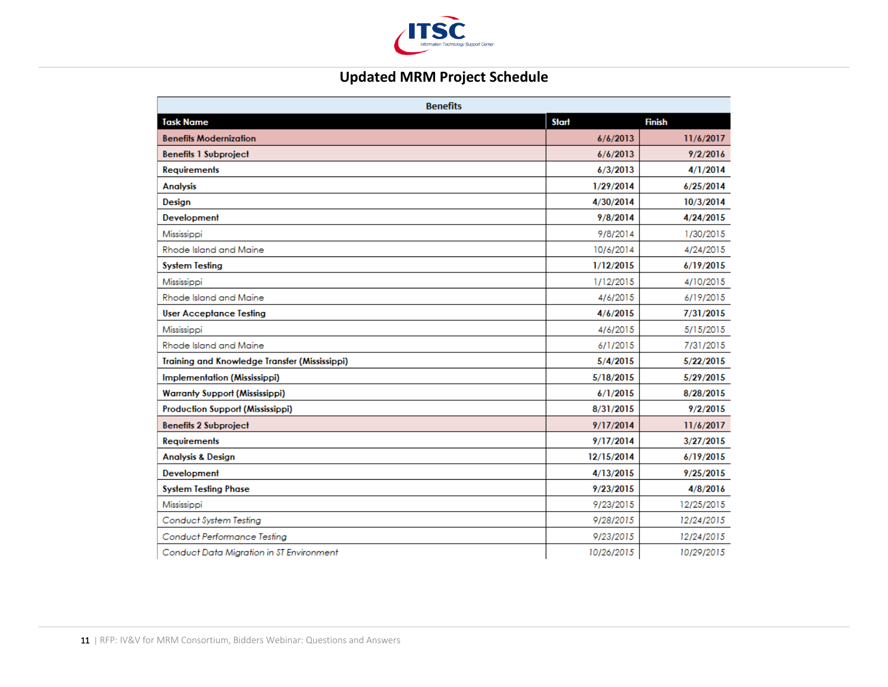

## **Updated MRM Project Schedule**

| <b>Benefits</b>                               |              |               |
|-----------------------------------------------|--------------|---------------|
| <b>Task Name</b>                              | <b>Start</b> | <b>Finish</b> |
| <b>Benefits Modernization</b>                 | 6/6/2013     | 11/6/2017     |
| <b>Benefits 1 Subproject</b>                  | 6/6/2013     | 9/2/2016      |
| <b>Requirements</b>                           | 6/3/2013     | 4/1/2014      |
| <b>Analysis</b>                               | 1/29/2014    | 6/25/2014     |
| Design                                        | 4/30/2014    | 10/3/2014     |
| Development                                   | 9/8/2014     | 4/24/2015     |
| Mississippi                                   | 9/8/2014     | 1/30/2015     |
| Rhode Island and Maine                        | 10/6/2014    | 4/24/2015     |
| <b>System Testing</b>                         | 1/12/2015    | 6/19/2015     |
| Mississippi                                   | 1/12/2015    | 4/10/2015     |
| Rhode Island and Maine                        | 4/6/2015     | 6/19/2015     |
| <b>User Acceptance Testing</b>                | 4/6/2015     | 7/31/2015     |
| Mississippi                                   | 4/6/2015     | 5/15/2015     |
| Rhode Island and Maine                        | 6/1/2015     | 7/31/2015     |
| Training and Knowledge Transfer (Mississippi) | 5/4/2015     | 5/22/2015     |
| Implementation (Mississippi)                  | 5/18/2015    | 5/29/2015     |
| <b>Warranty Support (Mississippi)</b>         | 6/1/2015     | 8/28/2015     |
| <b>Production Support (Mississippi)</b>       | 8/31/2015    | 9/2/2015      |
| <b>Benefits 2 Subproject</b>                  | 9/17/2014    | 11/6/2017     |
| <b>Requirements</b>                           | 9/17/2014    | 3/27/2015     |
| <b>Analysis &amp; Design</b>                  | 12/15/2014   | 6/19/2015     |
| Development                                   | 4/13/2015    | 9/25/2015     |
| <b>System Testing Phase</b>                   | 9/23/2015    | 4/8/2016      |
| Mississippi                                   | 9/23/2015    | 12/25/2015    |
| Conduct System Testing                        | 9/28/2015    | 12/24/2015    |
| <b>Conduct Performance Testing</b>            | 9/23/2015    | 12/24/2015    |
| Conduct Data Migration in ST Environment      | 10/26/2015   | 10/29/2015    |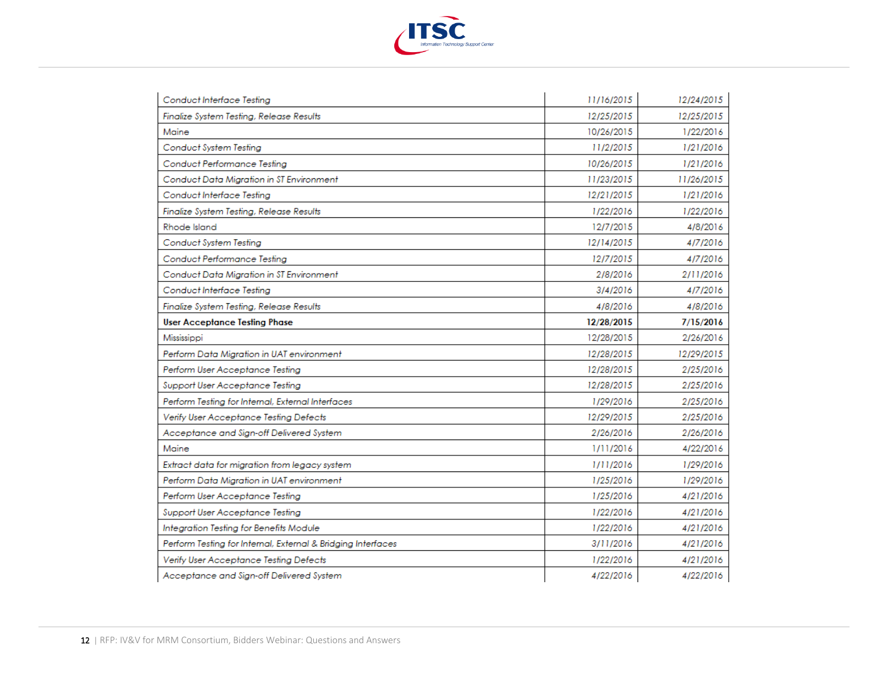

| Conduct Interface Testing                                    | 11/16/2015 | 12/24/2015 |
|--------------------------------------------------------------|------------|------------|
| Finalize System Testing, Release Results                     | 12/25/2015 | 12/25/2015 |
| Maine                                                        | 10/26/2015 | 1/22/2016  |
| Conduct System Testing                                       | 11/2/2015  | 1/21/2016  |
| Conduct Performance Testing                                  | 10/26/2015 | 1/21/2016  |
| Conduct Data Migration in ST Environment                     | 11/23/2015 | 11/26/2015 |
| Conduct Interface Testing                                    | 12/21/2015 | 1/21/2016  |
| Finalize System Testing, Release Results                     | 1/22/2016  | 1/22/2016  |
| Rhode Island                                                 | 12/7/2015  | 4/8/2016   |
| Conduct System Testing                                       | 12/14/2015 | 4/7/2016   |
| Conduct Performance Testing                                  | 12/7/2015  | 4/7/2016   |
| Conduct Data Migration in ST Environment                     | 2/8/2016   | 2/11/2016  |
| Conduct Interface Testing                                    | 3/4/2016   | 4/7/2016   |
| Finalize System Testing, Release Results                     | 4/8/2016   | 4/8/2016   |
| <b>User Acceptance Testing Phase</b>                         | 12/28/2015 | 7/15/2016  |
| Mississippi                                                  | 12/28/2015 | 2/26/2016  |
|                                                              |            |            |
| Perform Data Migration in UAT environment                    | 12/28/2015 | 12/29/2015 |
| Perform User Acceptance Testing                              | 12/28/2015 | 2/25/2016  |
| Support User Acceptance Testing                              | 12/28/2015 | 2/25/2016  |
| Perform Testing for Internal, External Interfaces            | 1/29/2016  | 2/25/2016  |
| Verify User Acceptance Testing Defects                       | 12/29/2015 | 2/25/2016  |
| Acceptance and Sign-off Delivered System                     | 2/26/2016  | 2/26/2016  |
| Maine                                                        | 1/11/2016  | 4/22/2016  |
| Extract data for migration from legacy system                | 1/11/2016  | 1/29/2016  |
| Perform Data Migration in UAT environment                    | 1/25/2016  | 1/29/2016  |
| Perform User Acceptance Testing                              | 1/25/2016  | 4/21/2016  |
| Support User Acceptance Testing                              | 1/22/2016  | 4/21/2016  |
| Integration Testing for Benefits Module                      | 1/22/2016  | 4/21/2016  |
| Perform Testing for Internal, External & Bridging Interfaces | 3/11/2016  | 4/21/2016  |
| Verify User Acceptance Testing Defects                       | 1/22/2016  | 4/21/2016  |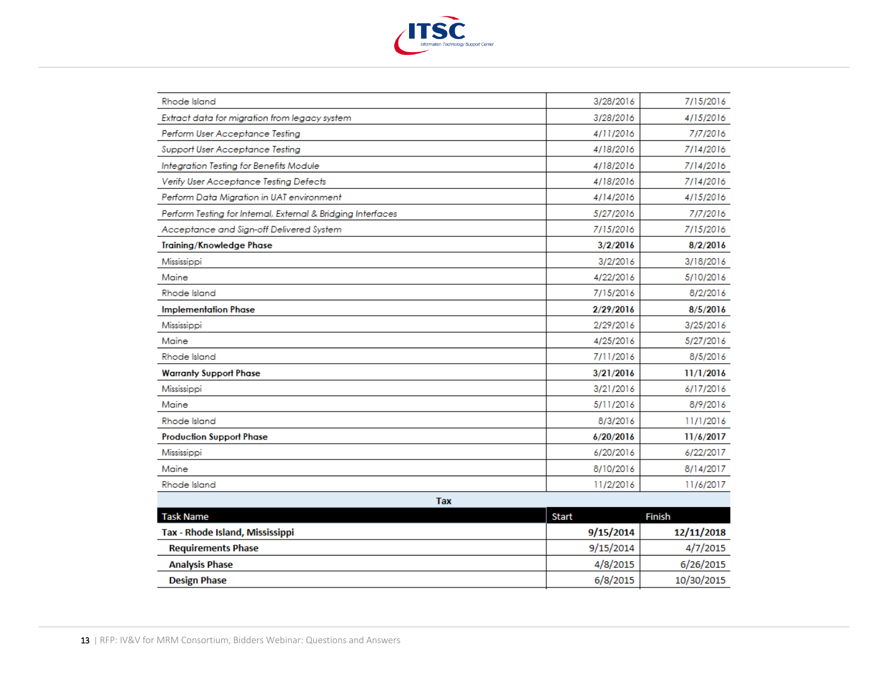

| <b>Rhode Island</b>                                          | 3/28/2016    | 7/15/2016  |
|--------------------------------------------------------------|--------------|------------|
| Extract data for migration from legacy system                | 3/28/2016    | 4/15/2016  |
| Perform User Acceptance Testing                              | 4/11/2016    | 7/7/2016   |
| Support User Acceptance Testing                              | 4/18/2016    | 7/14/2016  |
| Integration Testing for Benefits Module                      | 4/18/2016    | 7/14/2016  |
| Verify User Acceptance Testing Defects                       | 4/18/2016    | 7/14/2016  |
| Perform Data Migration in UAT environment                    | 4/14/2016    | 4/15/2016  |
| Perform Testing for Internal, External & Bridging Interfaces | 5/27/2016    | 7/7/2016   |
| Acceptance and Sign-off Delivered System                     | 7/15/2016    | 7/15/2016  |
| <b>Training/Knowledge Phase</b>                              | 3/2/2016     | 8/2/2016   |
| Mississippi                                                  | 3/2/2016     | 3/18/2016  |
| Maine                                                        | 4/22/2016    | 5/10/2016  |
| <b>Rhode Island</b>                                          | 7/15/2016    | 8/2/2016   |
| <b>Implementation Phase</b>                                  | 2/29/2016    | 8/5/2016   |
| Mississippi                                                  | 2/29/2016    | 3/25/2016  |
| Maine                                                        | 4/25/2016    | 5/27/2016  |
| Rhode Island                                                 | 7/11/2016    | 8/5/2016   |
| <b>Warranty Support Phase</b>                                | 3/21/2016    | 11/1/2016  |
| Mississippi                                                  | 3/21/2016    | 6/17/2016  |
| Maine                                                        | 5/11/2016    | 8/9/2016   |
| Rhode Island                                                 | 8/3/2016     | 11/1/2016  |
| <b>Production Support Phase</b>                              | 6/20/2016    | 11/6/2017  |
| Mississippi                                                  | 6/20/2016    | 6/22/2017  |
| Maine                                                        | 8/10/2016    | 8/14/2017  |
| <b>Rhode Island</b>                                          | 11/2/2016    | 11/6/2017  |
| <b>Tax</b>                                                   |              |            |
| <b>Task Name</b>                                             | <b>Start</b> | Finish     |
| Tax - Rhode Island, Mississippi                              | 9/15/2014    | 12/11/2018 |
| <b>Requirements Phase</b>                                    | 9/15/2014    | 4/7/2015   |
| <b>Analysis Phase</b>                                        | 4/8/2015     | 6/26/2015  |
| <b>Design Phase</b>                                          | 6/8/2015     | 10/30/2015 |